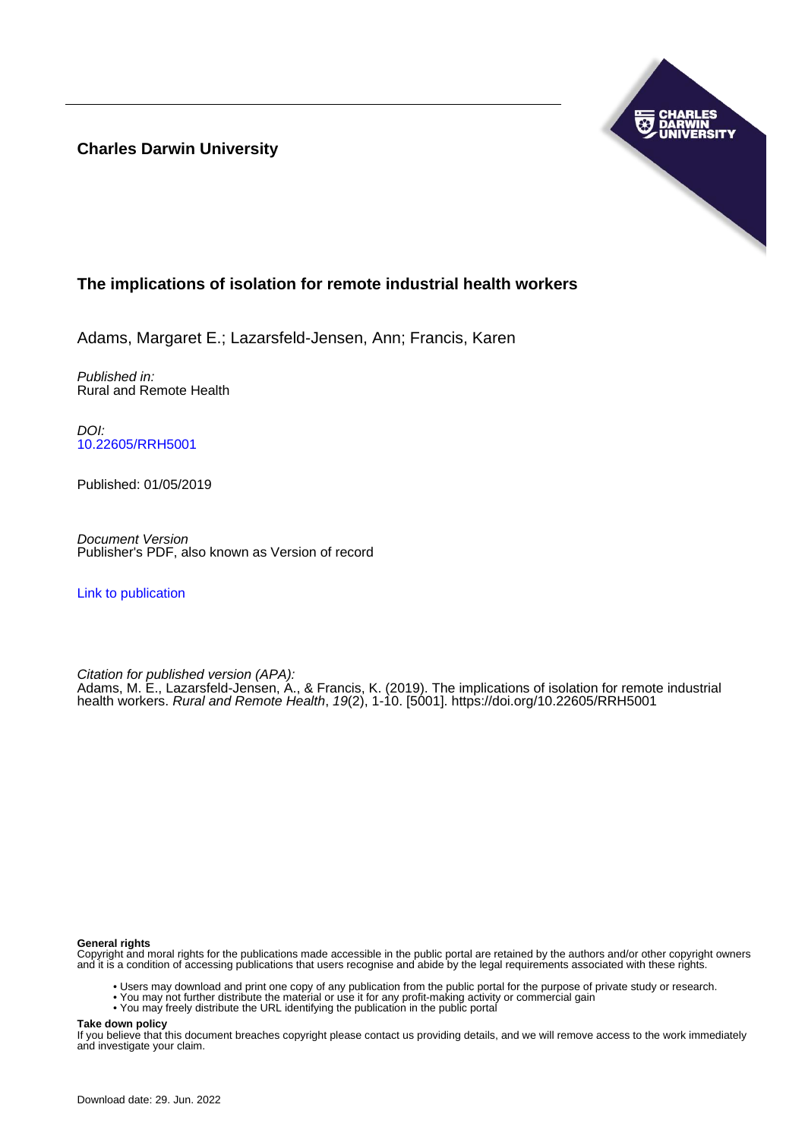**Charles Darwin University**



# **The implications of isolation for remote industrial health workers**

Adams, Margaret E.; Lazarsfeld-Jensen, Ann; Francis, Karen

Published in: Rural and Remote Health

DOI: [10.22605/RRH5001](https://doi.org/10.22605/RRH5001)

Published: 01/05/2019

Document Version Publisher's PDF, also known as Version of record

[Link to publication](https://researchers.cdu.edu.au/en/publications/e61ab3b4-5982-4366-a44f-36a7e73e1ed8)

Citation for published version (APA): Adams, M. E., Lazarsfeld-Jensen, A., & Francis, K. (2019). The implications of isolation for remote industrial health workers. Rural and Remote Health, 19(2), 1-10. [5001]. <https://doi.org/10.22605/RRH5001>

#### **General rights**

Copyright and moral rights for the publications made accessible in the public portal are retained by the authors and/or other copyright owners and it is a condition of accessing publications that users recognise and abide by the legal requirements associated with these rights.

- Users may download and print one copy of any publication from the public portal for the purpose of private study or research.
- You may not further distribute the material or use it for any profit-making activity or commercial gain
- You may freely distribute the URL identifying the publication in the public portal

**Take down policy**

If you believe that this document breaches copyright please contact us providing details, and we will remove access to the work immediately and investigate your claim.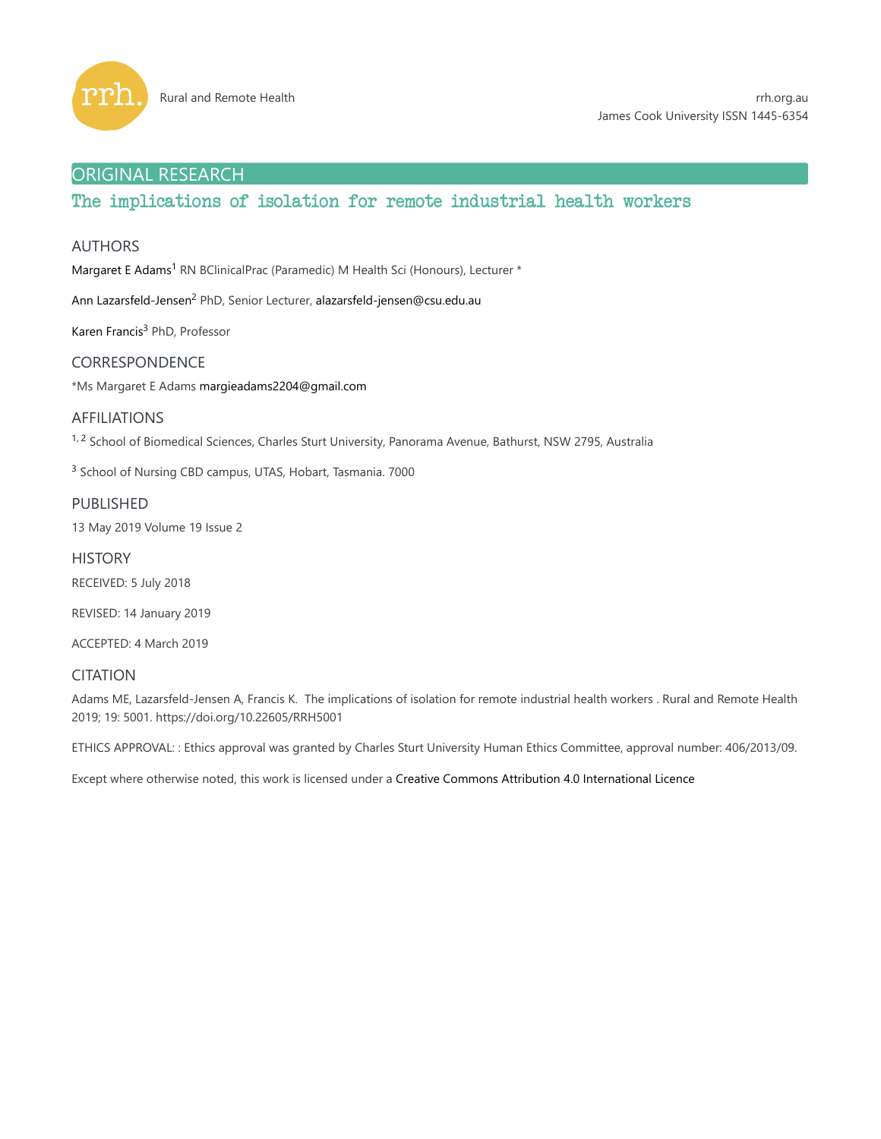

# ORIGINAL RESEARCH

# The implications of isolation for remote industrial health workers

# AUTHORS

Margaret E Adams<sup>1</sup> RN BClinicalPrac (Paramedic) M Health Sci (Honours), Lecturer \*

Ann Lazarsfeld-Jensen<sup>2</sup> PhD, Senior Lecturer, alazarsfeld-jensen@csu.edu.au

Karen Francis<sup>3</sup> PhD, Professor

# CORRESPONDENCE

\*Ms Margaret E Adams margieadams2204@gmail.com

# AFFILIATIONS

<sup>1, 2</sup> School of Biomedical Sciences, Charles Sturt University, Panorama Avenue, Bathurst, NSW 2795, Australia

<sup>3</sup> School of Nursing CBD campus, UTAS, Hobart, Tasmania. 7000

# PUBLISHED

13 May 2019 Volume 19 Issue 2

**HISTORY** RECEIVED: 5 July 2018

REVISED: 14 January 2019

ACCEPTED: 4 March 2019

# CITATION

Adams ME, Lazarsfeld-Jensen A, Francis K. The implications of isolation for remote industrial health workers . Rural and Remote Health 2019; 19: 5001. https://doi.org/10.22605/RRH5001

ETHICS APPROVAL: : Ethics approval was granted by Charles Sturt University Human Ethics Committee, approval number: 406/2013/09.

Except where otherwise noted, this work is licensed under a Creative Commons Attribution 4.0 International Licence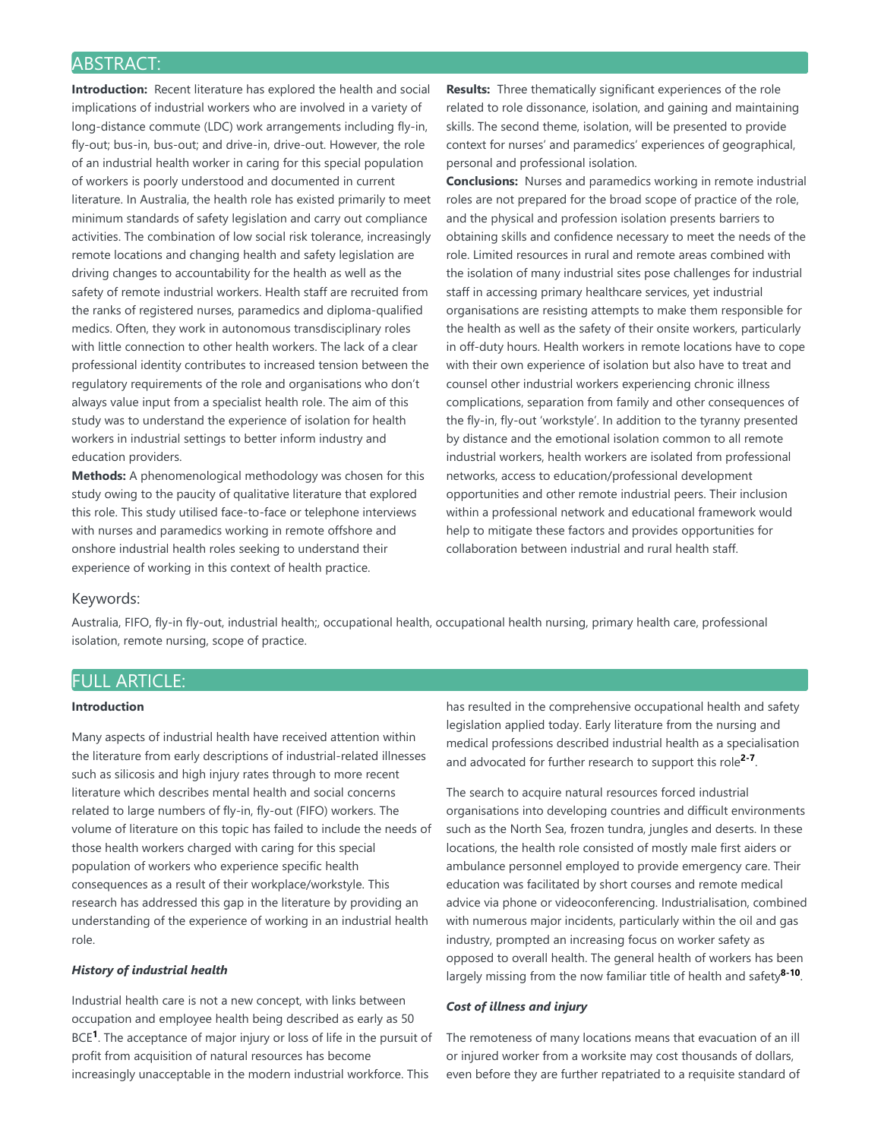# ABSTRACT:

**Introduction:** Recent literature has explored the health and social implications of industrial workers who are involved in a variety of long-distance commute (LDC) work arrangements including fly-in, fly-out; bus-in, bus-out; and drive-in, drive-out. However, the role of an industrial health worker in caring for this special population of workers is poorly understood and documented in current literature. In Australia, the health role has existed primarily to meet minimum standards of safety legislation and carry out compliance activities. The combination of low social risk tolerance, increasingly remote locations and changing health and safety legislation are driving changes to accountability for the health as well as the safety of remote industrial workers. Health staff are recruited from the ranks of registered nurses, paramedics and diploma-qualified medics. Often, they work in autonomous transdisciplinary roles with little connection to other health workers. The lack of a clear professional identity contributes to increased tension between the regulatory requirements of the role and organisations who don't always value input from a specialist health role. The aim of this study was to understand the experience of isolation for health workers in industrial settings to better inform industry and education providers.

**Methods:** A phenomenological methodology was chosen for this study owing to the paucity of qualitative literature that explored this role. This study utilised face-to-face or telephone interviews with nurses and paramedics working in remote offshore and onshore industrial health roles seeking to understand their experience of working in this context of health practice.

**Results:** Three thematically significant experiences of the role related to role dissonance, isolation, and gaining and maintaining skills. The second theme, isolation, will be presented to provide context for nurses' and paramedics' experiences of geographical, personal and professional isolation.

**Conclusions:** Nurses and paramedics working in remote industrial roles are not prepared for the broad scope of practice of the role, and the physical and profession isolation presents barriers to obtaining skills and confidence necessary to meet the needs of the role. Limited resources in rural and remote areas combined with the isolation of many industrial sites pose challenges for industrial staff in accessing primary healthcare services, yet industrial organisations are resisting attempts to make them responsible for the health as well as the safety of their onsite workers, particularly in off-duty hours. Health workers in remote locations have to cope with their own experience of isolation but also have to treat and counsel other industrial workers experiencing chronic illness complications, separation from family and other consequences of the fly-in, fly-out 'workstyle'. In addition to the tyranny presented by distance and the emotional isolation common to all remote industrial workers, health workers are isolated from professional networks, access to education/professional development opportunities and other remote industrial peers. Their inclusion within a professional network and educational framework would help to mitigate these factors and provides opportunities for collaboration between industrial and rural health staff.

# Keywords:

Australia, FIFO, fly-in fly-out, industrial health;, occupational health, occupational health nursing, primary health care, professional isolation, remote nursing, scope of practice.

# FULL ARTICLE:

# **Introduction**

Many aspects of industrial health have received attention within the literature from early descriptions of industrial-related illnesses such as silicosis and high injury rates through to more recent literature which describes mental health and social concerns related to large numbers of fly-in, fly-out (FIFO) workers. The volume of literature on this topic has failed to include the needs of those health workers charged with caring for this special population of workers who experience specific health consequences as a result of their workplace/workstyle. This research has addressed this gap in the literature by providing an understanding of the experience of working in an industrial health role.

# *History of industrial health*

Industrial health care is not a new concept, with links between occupation and employee health being described as early as 50 BCE<sup>1</sup>. The acceptance of major injury or loss of life in the pursuit of profit from acquisition of natural resources has become increasingly unacceptable in the modern industrial workforce. This

has resulted in the comprehensive occupational health and safety legislation applied today. Early literature from the nursing and medical professions described industrial health as a specialisation and advocated for further research to support this role<sup>2-7</sup>.

The search to acquire natural resources forced industrial organisations into developing countries and difficult environments such as the North Sea, frozen tundra, jungles and deserts. In these locations, the health role consisted of mostly male first aiders or ambulance personnel employed to provide emergency care. Their education was facilitated by short courses and remote medical advice via phone or videoconferencing. Industrialisation, combined with numerous major incidents, particularly within the oil and gas industry, prompted an increasing focus on worker safety as opposed to overall health. The general health of workers has been largely missing from the now familiar title of health and safety<sup>8-10</sup>.

#### *Cost of illness and injury*

The remoteness of many locations means that evacuation of an ill or injured worker from a worksite may cost thousands of dollars, even before they are further repatriated to a requisite standard of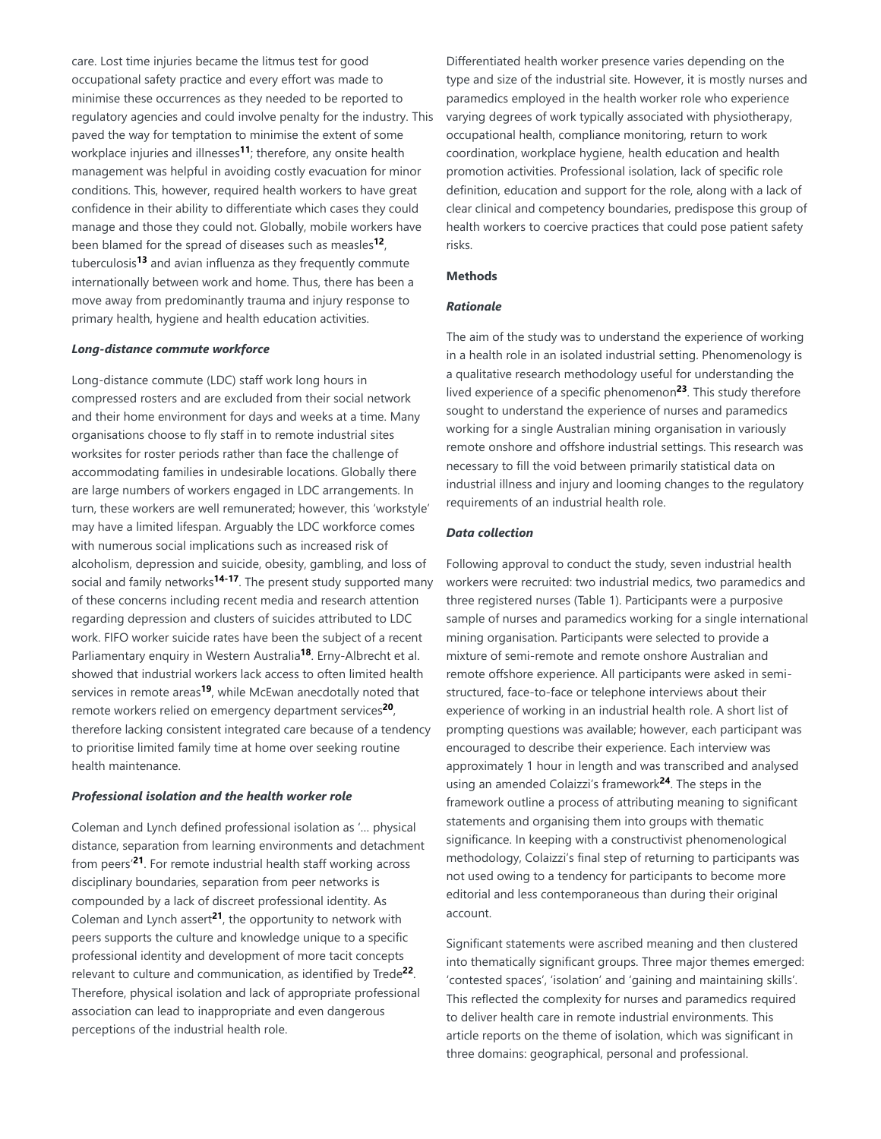care. Lost time injuries became the litmus test for good occupational safety practice and every effort was made to minimise these occurrences as they needed to be reported to regulatory agencies and could involve penalty for the industry. This paved the way for temptation to minimise the extent of some workplace injuries and illnesses<sup>11</sup>; therefore, any onsite health management was helpful in avoiding costly evacuation for minor conditions. This, however, required health workers to have great confidence in their ability to differentiate which cases they could manage and those they could not. Globally, mobile workers have been blamed for the spread of diseases such as measles<sup>12</sup>, tuberculosis<sup>13</sup> and avian influenza as they frequently commute internationally between work and home. Thus, there has been a move away from predominantly trauma and injury response to primary health, hygiene and health education activities.

### *Long-distance commute workforce*

Long-distance commute (LDC) staff work long hours in compressed rosters and are excluded from their social network and their home environment for days and weeks at a time. Many organisations choose to fly staff in to remote industrial sites worksites for roster periods rather than face the challenge of accommodating families in undesirable locations. Globally there are large numbers of workers engaged in LDC arrangements. In turn, these workers are well remunerated; however, this 'workstyle' may have a limited lifespan. Arguably the LDC workforce comes with numerous social implications such as increased risk of alcoholism, depression and suicide, obesity, gambling, and loss of social and family networks<sup>14-17</sup>. The present study supported many of these concerns including recent media and research attention regarding depression and clusters of suicides attributed to LDC work. FIFO worker suicide rates have been the subject of a recent Parliamentary enquiry in Western Australia<sup>18</sup>. Erny-Albrecht et al. showed that industrial workers lack access to often limited health services in remote areas<sup>19</sup>, while McEwan anecdotally noted that remote workers relied on emergency department services<sup>20</sup>, therefore lacking consistent integrated care because of a tendency to prioritise limited family time at home over seeking routine health maintenance.

#### *Professional isolation and the health worker role*

Coleman and Lynch defined professional isolation as '… physical distance, separation from learning environments and detachment from peers'<sup>21</sup>. For remote industrial health staff working across disciplinary boundaries, separation from peer networks is compounded by a lack of discreet professional identity. As Coleman and Lynch assert $2<sup>1</sup>$ , the opportunity to network with peers supports the culture and knowledge unique to a specific professional identity and development of more tacit concepts relevant to culture and communication, as identified by Trede<sup>22</sup>. Therefore, physical isolation and lack of appropriate professional association can lead to inappropriate and even dangerous perceptions of the industrial health role.

Differentiated health worker presence varies depending on the type and size of the industrial site. However, it is mostly nurses and paramedics employed in the health worker role who experience varying degrees of work typically associated with physiotherapy, occupational health, compliance monitoring, return to work coordination, workplace hygiene, health education and health promotion activities. Professional isolation, lack of specific role definition, education and support for the role, along with a lack of clear clinical and competency boundaries, predispose this group of health workers to coercive practices that could pose patient safety risks.

#### **Methods**

# *Rationale*

The aim of the study was to understand the experience of working in a health role in an isolated industrial setting. Phenomenology is a qualitative research methodology useful for understanding the lived experience of a specific phenomenon<sup>23</sup>. This study therefore sought to understand the experience of nurses and paramedics working for a single Australian mining organisation in variously remote onshore and offshore industrial settings. This research was necessary to fill the void between primarily statistical data on industrial illness and injury and looming changes to the regulatory requirements of an industrial health role.

### *Data collection*

Following approval to conduct the study, seven industrial health workers were recruited: two industrial medics, two paramedics and three registered nurses (Table 1). Participants were a purposive sample of nurses and paramedics working for a single international mining organisation. Participants were selected to provide a mixture of semi-remote and remote onshore Australian and remote offshore experience. All participants were asked in semistructured, face-to-face or telephone interviews about their experience of working in an industrial health role. A short list of prompting questions was available; however, each participant was encouraged to describe their experience. Each interview was approximately 1 hour in length and was transcribed and analysed using an amended Colaizzi's framework<sup>24</sup>. The steps in the framework outline a process of attributing meaning to significant statements and organising them into groups with thematic significance. In keeping with a constructivist phenomenological methodology, Colaizzi's final step of returning to participants was not used owing to a tendency for participants to become more editorial and less contemporaneous than during their original account.

Significant statements were ascribed meaning and then clustered into thematically significant groups. Three major themes emerged: 'contested spaces', 'isolation' and 'gaining and maintaining skills'. This reflected the complexity for nurses and paramedics required to deliver health care in remote industrial environments. This article reports on the theme of isolation, which was significant in three domains: geographical, personal and professional.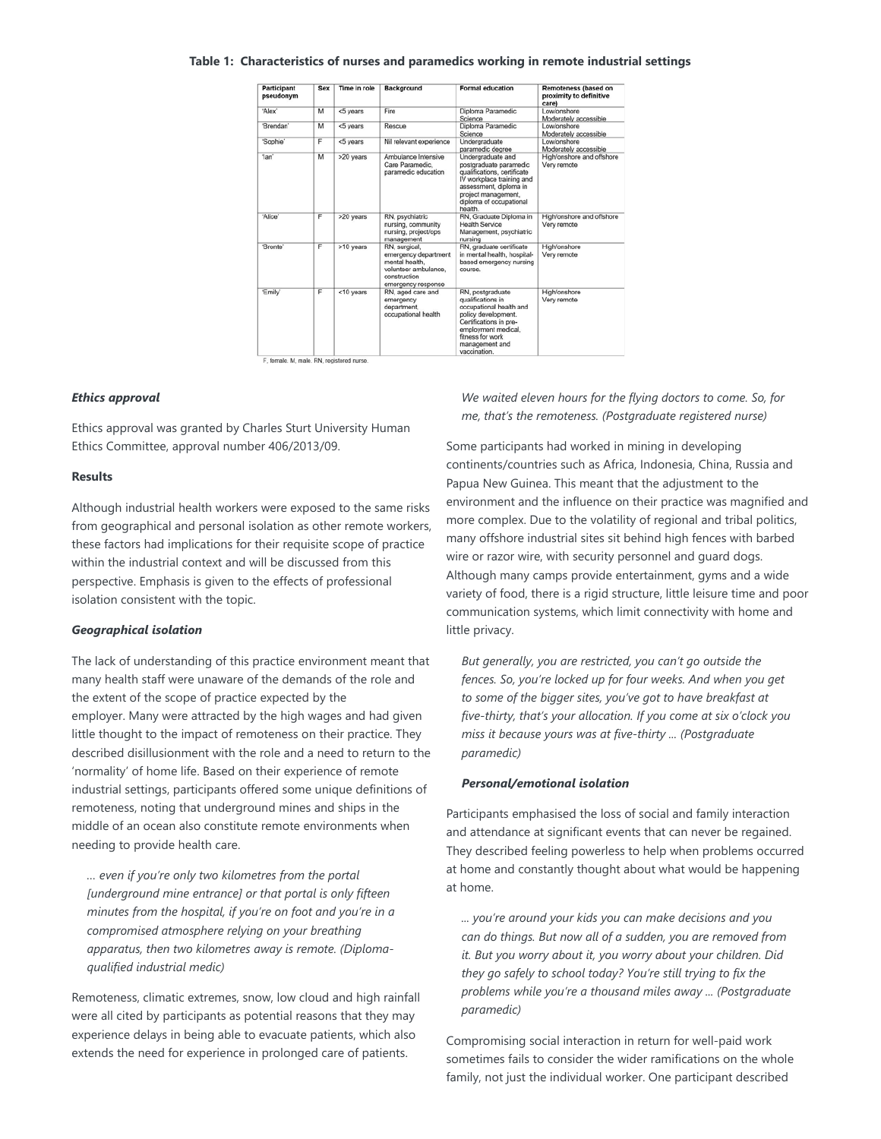#### **Table 1: Characteristics of nurses and paramedics working in remote industrial settings**

| Participant<br>pseudonym | Sex            | Time in role | <b>Background</b>                                                                                                     | <b>Formal education</b>                                                                                                                                                                        | Remoteness (based on<br>proximity to definitive<br>care) |
|--------------------------|----------------|--------------|-----------------------------------------------------------------------------------------------------------------------|------------------------------------------------------------------------------------------------------------------------------------------------------------------------------------------------|----------------------------------------------------------|
| 'Alex'                   | M              | <5 years     | Fire                                                                                                                  | Diploma Paramedic<br>Science                                                                                                                                                                   | Low/onshore<br>Moderately accessible                     |
| 'Brendan'                | M              | <5 years     | Rescue                                                                                                                | Diploma Paramedic<br>Science                                                                                                                                                                   | Lowlonshore<br>Moderately accessible                     |
| 'Sophie'                 | F              | <5 years     | Nil relevant experience                                                                                               | Undergraduate<br>paramedic degree                                                                                                                                                              | Low/onshore<br>Moderately accessible                     |
| 'lan'                    | M              | >20 years    | Ambulance Intensive<br>Care Paramedic.<br>paramedic education                                                         | Undergraduate and<br>postgraduate paramedic<br>qualifications, certificate<br>IV workplace training and<br>assessment, diploma in<br>project management.<br>diploma of occupational<br>health. | High/onshore and offshore<br>Very remote                 |
| 'Alice'                  | F              | >20 years    | RN, psychiatric<br>nursing, community<br>nursing, project/ops<br>management                                           | RN. Graduate Diploma in<br>Health Service<br>Management, psychiatric<br>nursing                                                                                                                | High/onshore and offshore<br>Very remote                 |
| 'Bronte'                 | F              | >10 years    | RN, surgical,<br>emergency department<br>mental health.<br>volunteer ambulance.<br>construction<br>emergency response | RN, graduate certificate<br>in mental health, hospital-<br>based emergency nursing<br>course.                                                                                                  | High/onshore<br>Very remote                              |
| 'Emily'                  | $\overline{F}$ | <10 years    | RN, aged care and<br>emergency<br>department.<br>occupational health                                                  | RN, postgraduate<br>qualifications in<br>occupational health and<br>policy development.<br>Certifications in pre-<br>employment medical.<br>fitness for work<br>management and<br>vaccination. | High/onshore<br>Very remote                              |

#### *Ethics approval*

Ethics approval was granted by Charles Sturt University Human Ethics Committee, approval number 406/2013/09.

#### **Results**

Although industrial health workers were exposed to the same risks from geographical and personal isolation as other remote workers, these factors had implications for their requisite scope of practice within the industrial context and will be discussed from this perspective. Emphasis is given to the effects of professional isolation consistent with the topic.

#### *Geographical isolation*

The lack of understanding of this practice environment meant that many health staff were unaware of the demands of the role and the extent of the scope of practice expected by the employer. Many were attracted by the high wages and had given little thought to the impact of remoteness on their practice. They described disillusionment with the role and a need to return to the 'normality' of home life. Based on their experience of remote industrial settings, participants offered some unique definitions of remoteness, noting that underground mines and ships in the middle of an ocean also constitute remote environments when needing to provide health care.

*… even if you're only two kilometres from the portal [underground mine entrance] or that portal is only fifteen minutes from the hospital, if you're on foot and you're in a compromised atmosphere relying on your breathing apparatus, then two kilometres away is remote. (Diplomaqualified industrial medic)*

Remoteness, climatic extremes, snow, low cloud and high rainfall were all cited by participants as potential reasons that they may experience delays in being able to evacuate patients, which also extends the need for experience in prolonged care of patients.

*We waited eleven hours for the flying doctors to come. So, for me, that's the remoteness. (Postgraduate registered nurse)*

Some participants had worked in mining in developing continents/countries such as Africa, Indonesia, China, Russia and Papua New Guinea. This meant that the adjustment to the environment and the influence on their practice was magnified and more complex. Due to the volatility of regional and tribal politics, many offshore industrial sites sit behind high fences with barbed wire or razor wire, with security personnel and guard dogs. Although many camps provide entertainment, gyms and a wide variety of food, there is a rigid structure, little leisure time and poor communication systems, which limit connectivity with home and little privacy.

*But generally, you are restricted, you can't go outside the fences. So, you're locked up for four weeks. And when you get to some of the bigger sites, you've got to have breakfast at five-thirty, that's your allocation. If you come at six o'clock you miss it because yours was at five-thirty ... (Postgraduate paramedic)*

### *Personal/emotional isolation*

Participants emphasised the loss of social and family interaction and attendance at significant events that can never be regained. They described feeling powerless to help when problems occurred at home and constantly thought about what would be happening at home.

*... you're around your kids you can make decisions and you can do things. But now all of a sudden, you are removed from it. But you worry about it, you worry about your children. Did they go safely to school today? You're still trying to fix the problems while you're a thousand miles away ... (Postgraduate paramedic)*

Compromising social interaction in return for well-paid work sometimes fails to consider the wider ramifications on the whole family, not just the individual worker. One participant described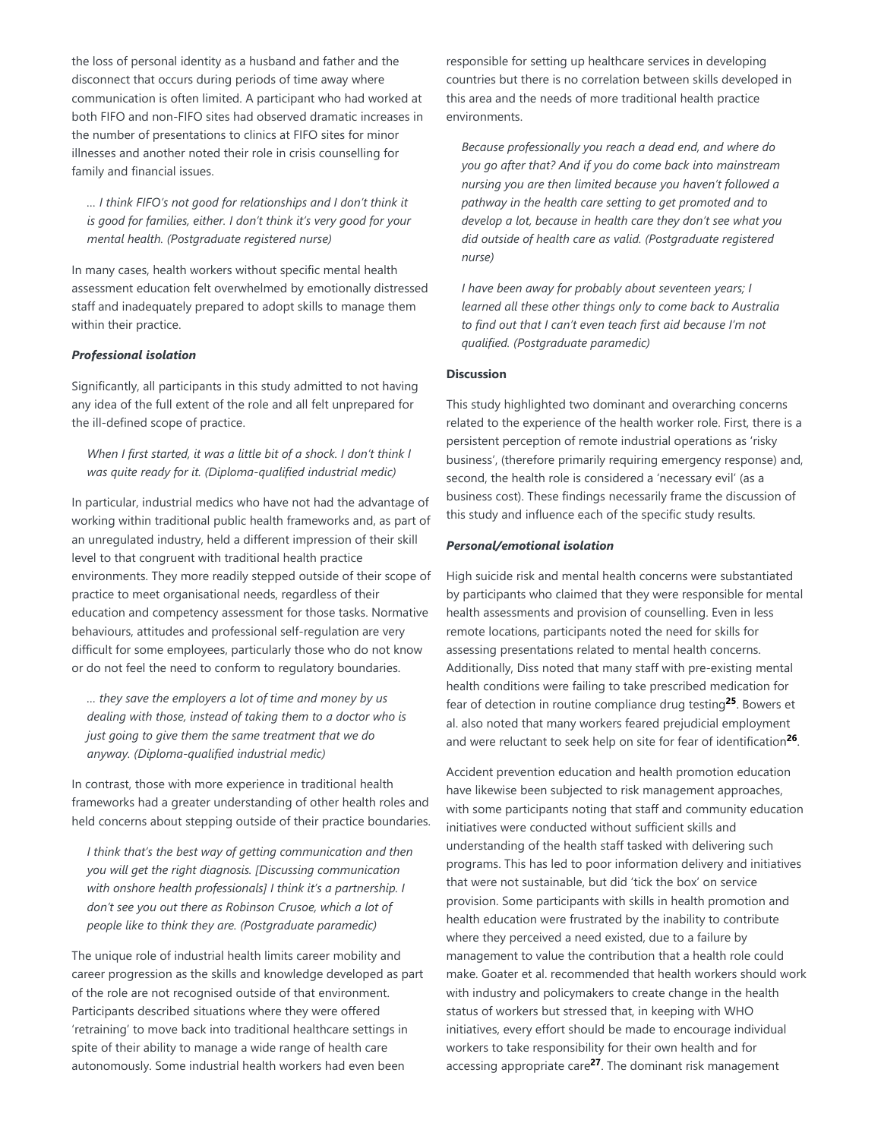the loss of personal identity as a husband and father and the disconnect that occurs during periods of time away where communication is often limited. A participant who had worked at both FIFO and non-FIFO sites had observed dramatic increases in the number of presentations to clinics at FIFO sites for minor illnesses and another noted their role in crisis counselling for family and financial issues.

*… I think FIFO's not good for relationships and I don't think it is good for families, either. I don't think it's very good for your mental health. (Postgraduate registered nurse)*

In many cases, health workers without specific mental health assessment education felt overwhelmed by emotionally distressed staff and inadequately prepared to adopt skills to manage them within their practice.

## *Professional isolation*

Significantly, all participants in this study admitted to not having any idea of the full extent of the role and all felt unprepared for the ill-defined scope of practice.

*When I first started, it was a little bit of a shock. I don't think I was quite ready for it. (Diploma-qualified industrial medic)*

In particular, industrial medics who have not had the advantage of working within traditional public health frameworks and, as part of an unregulated industry, held a different impression of their skill level to that congruent with traditional health practice environments. They more readily stepped outside of their scope of practice to meet organisational needs, regardless of their education and competency assessment for those tasks. Normative behaviours, attitudes and professional self-regulation are very difficult for some employees, particularly those who do not know or do not feel the need to conform to regulatory boundaries.

*… they save the employers a lot of time and money by us dealing with those, instead of taking them to a doctor who is just going to give them the same treatment that we do anyway. (Diploma-qualified industrial medic)*

In contrast, those with more experience in traditional health frameworks had a greater understanding of other health roles and held concerns about stepping outside of their practice boundaries.

*I think that's the best way of getting communication and then you will get the right diagnosis. [Discussing communication with onshore health professionals] I think it's a partnership. I don't see you out there as Robinson Crusoe, which a lot of people like to think they are. (Postgraduate paramedic)*

The unique role of industrial health limits career mobility and career progression as the skills and knowledge developed as part of the role are not recognised outside of that environment. Participants described situations where they were offered 'retraining' to move back into traditional healthcare settings in spite of their ability to manage a wide range of health care autonomously. Some industrial health workers had even been

responsible for setting up healthcare services in developing countries but there is no correlation between skills developed in this area and the needs of more traditional health practice environments.

*Because professionally you reach a dead end, and where do you go after that? And if you do come back into mainstream nursing you are then limited because you haven't followed a pathway in the health care setting to get promoted and to develop a lot, because in health care they don't see what you did outside of health care as valid. (Postgraduate registered nurse)*

*I have been away for probably about seventeen years; I learned all these other things only to come back to Australia to find out that I can't even teach first aid because I'm not qualified. (Postgraduate paramedic)*

## **Discussion**

This study highlighted two dominant and overarching concerns related to the experience of the health worker role. First, there is a persistent perception of remote industrial operations as 'risky business', (therefore primarily requiring emergency response) and, second, the health role is considered a 'necessary evil' (as a business cost). These findings necessarily frame the discussion of this study and influence each of the specific study results.

## *Personal/emotional isolation*

High suicide risk and mental health concerns were substantiated by participants who claimed that they were responsible for mental health assessments and provision of counselling. Even in less remote locations, participants noted the need for skills for assessing presentations related to mental health concerns. Additionally, Diss noted that many staff with pre-existing mental health conditions were failing to take prescribed medication for fear of detection in routine compliance drug testing<sup>25</sup>. Bowers et al. also noted that many workers feared prejudicial employment and were reluctant to seek help on site for fear of identification<sup>26</sup>.

Accident prevention education and health promotion education have likewise been subjected to risk management approaches, with some participants noting that staff and community education initiatives were conducted without sufficient skills and understanding of the health staff tasked with delivering such programs. This has led to poor information delivery and initiatives that were not sustainable, but did 'tick the box' on service provision. Some participants with skills in health promotion and health education were frustrated by the inability to contribute where they perceived a need existed, due to a failure by management to value the contribution that a health role could make. Goater et al. recommended that health workers should work with industry and policymakers to create change in the health status of workers but stressed that, in keeping with WHO initiatives, every effort should be made to encourage individual workers to take responsibility for their own health and for accessing appropriate care<sup>27</sup>. The dominant risk management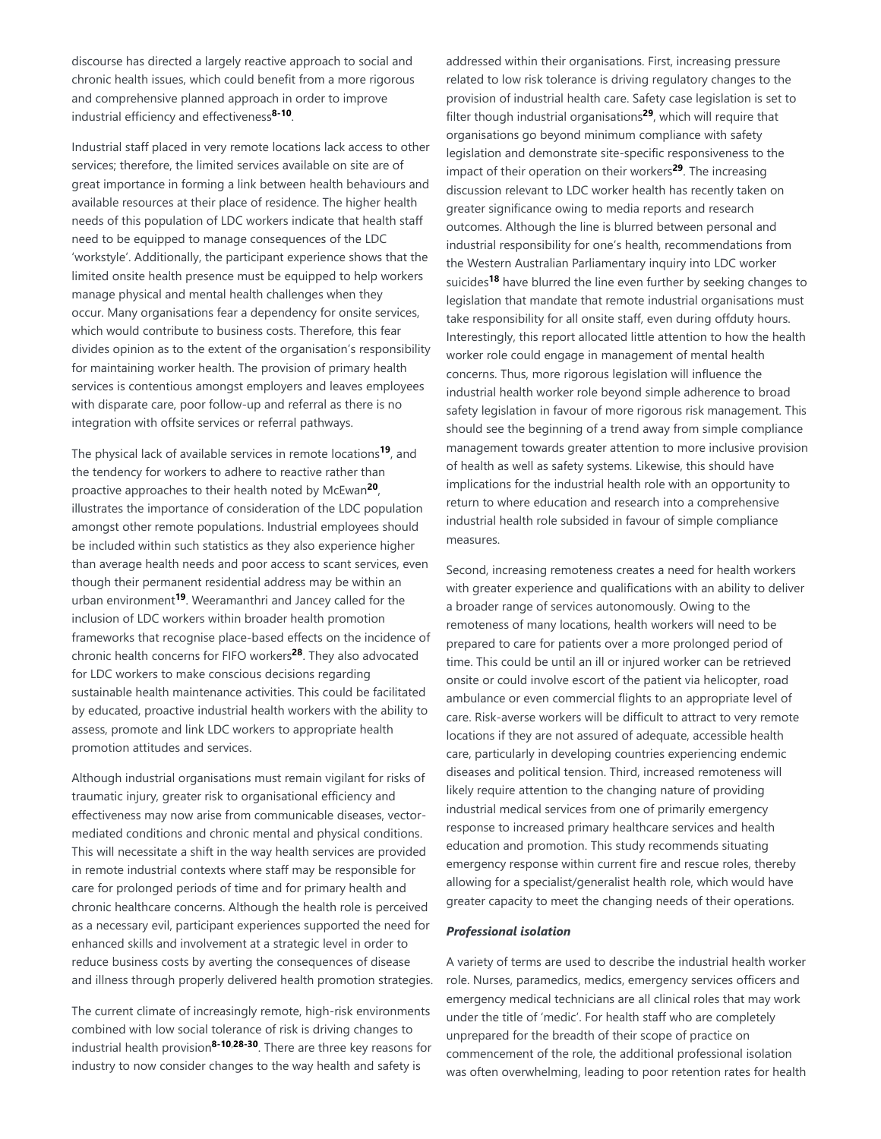discourse has directed a largely reactive approach to social and chronic health issues, which could benefit from a more rigorous and comprehensive planned approach in order to improve industrial efficiency and effectiveness<sup>8-10</sup>.

Industrial staff placed in very remote locations lack access to other services; therefore, the limited services available on site are of great importance in forming a link between health behaviours and available resources at their place of residence. The higher health needs of this population of LDC workers indicate that health staff need to be equipped to manage consequences of the LDC 'workstyle'. Additionally, the participant experience shows that the limited onsite health presence must be equipped to help workers manage physical and mental health challenges when they occur. Many organisations fear a dependency for onsite services, which would contribute to business costs. Therefore, this fear divides opinion as to the extent of the organisation's responsibility for maintaining worker health. The provision of primary health services is contentious amongst employers and leaves employees with disparate care, poor follow-up and referral as there is no integration with offsite services or referral pathways.

The physical lack of available services in remote locations<sup>19</sup>, and the tendency for workers to adhere to reactive rather than proactive approaches to their health noted by McEwan<sup>20</sup>, illustrates the importance of consideration of the LDC population amongst other remote populations. Industrial employees should be included within such statistics as they also experience higher than average health needs and poor access to scant services, even though their permanent residential address may be within an urban environment<sup>19</sup>. Weeramanthri and Jancey called for the inclusion of LDC workers within broader health promotion frameworks that recognise place-based effects on the incidence of chronic health concerns for FIFO workers<sup>28</sup>. They also advocated for LDC workers to make conscious decisions regarding sustainable health maintenance activities. This could be facilitated by educated, proactive industrial health workers with the ability to assess, promote and link LDC workers to appropriate health promotion attitudes and services.

Although industrial organisations must remain vigilant for risks of traumatic injury, greater risk to organisational efficiency and effectiveness may now arise from communicable diseases, vectormediated conditions and chronic mental and physical conditions. This will necessitate a shift in the way health services are provided in remote industrial contexts where staff may be responsible for care for prolonged periods of time and for primary health and chronic healthcare concerns. Although the health role is perceived as a necessary evil, participant experiences supported the need for enhanced skills and involvement at a strategic level in order to reduce business costs by averting the consequences of disease and illness through properly delivered health promotion strategies.

The current climate of increasingly remote, high-risk environments combined with low social tolerance of risk is driving changes to industrial health provision<sup>8-10,28-30</sup>. There are three key reasons for industry to now consider changes to the way health and safety is

addressed within their organisations. First, increasing pressure related to low risk tolerance is driving regulatory changes to the provision of industrial health care. Safety case legislation is set to filter though industrial organisations<sup>29</sup>, which will require that organisations go beyond minimum compliance with safety legislation and demonstrate site-specific responsiveness to the impact of their operation on their workers<sup>29</sup>. The increasing discussion relevant to LDC worker health has recently taken on greater significance owing to media reports and research outcomes. Although the line is blurred between personal and industrial responsibility for one's health, recommendations from the Western Australian Parliamentary inquiry into LDC worker suicides<sup>18</sup> have blurred the line even further by seeking changes to legislation that mandate that remote industrial organisations must take responsibility for all onsite staff, even during offduty hours. Interestingly, this report allocated little attention to how the health worker role could engage in management of mental health concerns. Thus, more rigorous legislation will influence the industrial health worker role beyond simple adherence to broad safety legislation in favour of more rigorous risk management. This should see the beginning of a trend away from simple compliance management towards greater attention to more inclusive provision of health as well as safety systems. Likewise, this should have implications for the industrial health role with an opportunity to return to where education and research into a comprehensive industrial health role subsided in favour of simple compliance measures.

Second, increasing remoteness creates a need for health workers with greater experience and qualifications with an ability to deliver a broader range of services autonomously. Owing to the remoteness of many locations, health workers will need to be prepared to care for patients over a more prolonged period of time. This could be until an ill or injured worker can be retrieved onsite or could involve escort of the patient via helicopter, road ambulance or even commercial flights to an appropriate level of care. Risk-averse workers will be difficult to attract to very remote locations if they are not assured of adequate, accessible health care, particularly in developing countries experiencing endemic diseases and political tension. Third, increased remoteness will likely require attention to the changing nature of providing industrial medical services from one of primarily emergency response to increased primary healthcare services and health education and promotion. This study recommends situating emergency response within current fire and rescue roles, thereby allowing for a specialist/generalist health role, which would have greater capacity to meet the changing needs of their operations.

#### *Professional isolation*

A variety of terms are used to describe the industrial health worker role. Nurses, paramedics, medics, emergency services officers and emergency medical technicians are all clinical roles that may work under the title of 'medic'. For health staff who are completely unprepared for the breadth of their scope of practice on commencement of the role, the additional professional isolation was often overwhelming, leading to poor retention rates for health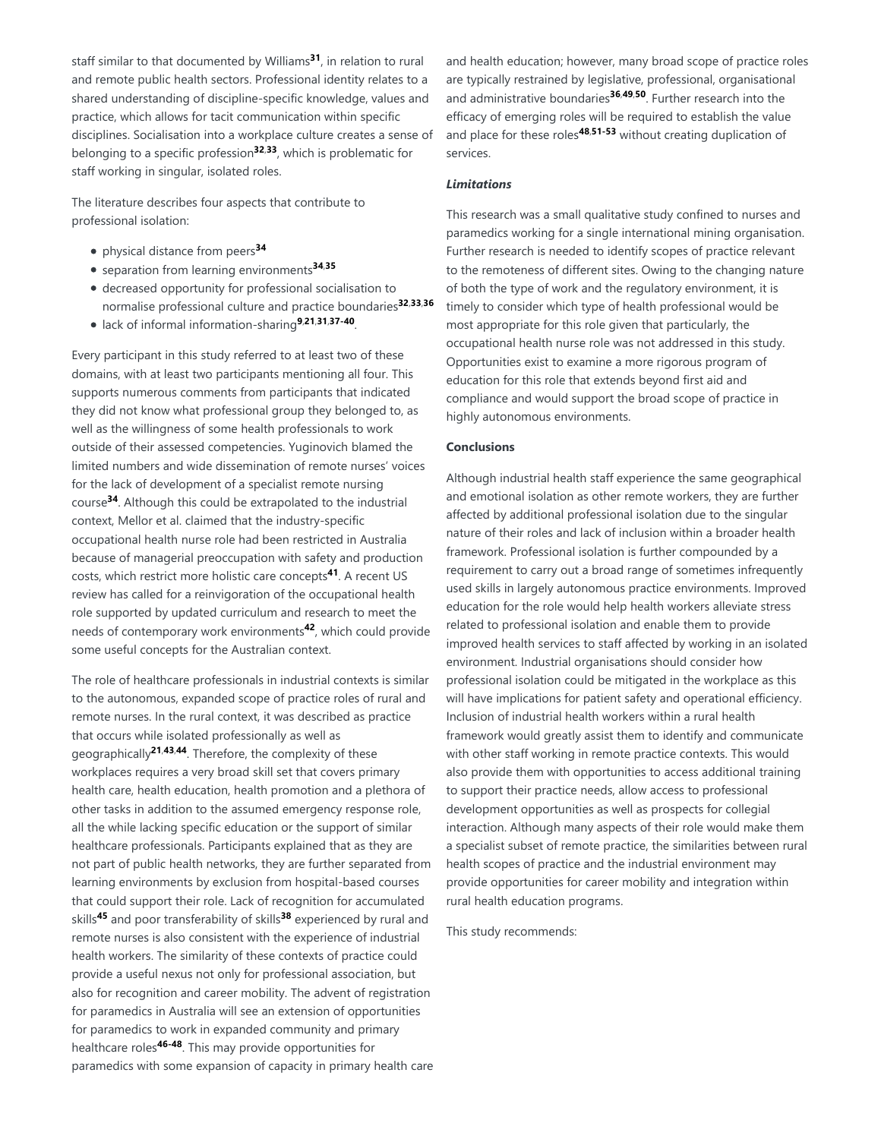staff similar to that documented by Williams<sup>31</sup>, in relation to rural and remote public health sectors. Professional identity relates to a shared understanding of discipline-specific knowledge, values and practice, which allows for tacit communication within specific disciplines. Socialisation into a workplace culture creates a sense of belonging to a specific profession<sup>32,33</sup>, which is problematic for staff working in singular, isolated roles.

The literature describes four aspects that contribute to professional isolation:

- physical distance from peers **34**
- separation from learning environments **34**,**35**
- decreased opportunity for professional socialisation to normalise professional culture and practice boundaries **32**,**33**,**36**
- lack of informal information-sharing<sup>9,21,31,37-40</sup>.

Every participant in this study referred to at least two of these domains, with at least two participants mentioning all four. This supports numerous comments from participants that indicated they did not know what professional group they belonged to, as well as the willingness of some health professionals to work outside of their assessed competencies. Yuginovich blamed the limited numbers and wide dissemination of remote nurses' voices for the lack of development of a specialist remote nursing course<sup>34</sup>. Although this could be extrapolated to the industrial context, Mellor et al. claimed that the industry-specific occupational health nurse role had been restricted in Australia because of managerial preoccupation with safety and production costs, which restrict more holistic care concepts<sup>41</sup>. A recent US review has called for a reinvigoration of the occupational health role supported by updated curriculum and research to meet the needs of contemporary work environments<sup>42</sup>, which could provide some useful concepts for the Australian context.

The role of healthcare professionals in industrial contexts is similar to the autonomous, expanded scope of practice roles of rural and remote nurses. In the rural context, it was described as practice that occurs while isolated professionally as well as geographically<sup>21,43,44</sup>. Therefore, the complexity of these workplaces requires a very broad skill set that covers primary health care, health education, health promotion and a plethora of other tasks in addition to the assumed emergency response role, all the while lacking specific education or the support of similar healthcare professionals. Participants explained that as they are not part of public health networks, they are further separated from learning environments by exclusion from hospital-based courses that could support their role. Lack of recognition for accumulated skills<sup>45</sup> and poor transferability of skills<sup>38</sup> experienced by rural and remote nurses is also consistent with the experience of industrial health workers. The similarity of these contexts of practice could provide a useful nexus not only for professional association, but also for recognition and career mobility. The advent of registration for paramedics in Australia will see an extension of opportunities for paramedics to work in expanded community and primary healthcare roles<sup>46-48</sup>. This may provide opportunities for paramedics with some expansion of capacity in primary health care

and health education; however, many broad scope of practice roles are typically restrained by legislative, professional, organisational and administrative boundaries<sup>36,49,50</sup>. Further research into the efficacy of emerging roles will be required to establish the value and place for these roles<sup>48,51-53</sup> without creating duplication of services.

## *Limitations*

This research was a small qualitative study confined to nurses and paramedics working for a single international mining organisation. Further research is needed to identify scopes of practice relevant to the remoteness of different sites. Owing to the changing nature of both the type of work and the regulatory environment, it is timely to consider which type of health professional would be most appropriate for this role given that particularly, the occupational health nurse role was not addressed in this study. Opportunities exist to examine a more rigorous program of education for this role that extends beyond first aid and compliance and would support the broad scope of practice in highly autonomous environments.

## **Conclusions**

Although industrial health staff experience the same geographical and emotional isolation as other remote workers, they are further affected by additional professional isolation due to the singular nature of their roles and lack of inclusion within a broader health framework. Professional isolation is further compounded by a requirement to carry out a broad range of sometimes infrequently used skills in largely autonomous practice environments. Improved education for the role would help health workers alleviate stress related to professional isolation and enable them to provide improved health services to staff affected by working in an isolated environment. Industrial organisations should consider how professional isolation could be mitigated in the workplace as this will have implications for patient safety and operational efficiency. Inclusion of industrial health workers within a rural health framework would greatly assist them to identify and communicate with other staff working in remote practice contexts. This would also provide them with opportunities to access additional training to support their practice needs, allow access to professional development opportunities as well as prospects for collegial interaction. Although many aspects of their role would make them a specialist subset of remote practice, the similarities between rural health scopes of practice and the industrial environment may provide opportunities for career mobility and integration within rural health education programs.

This study recommends: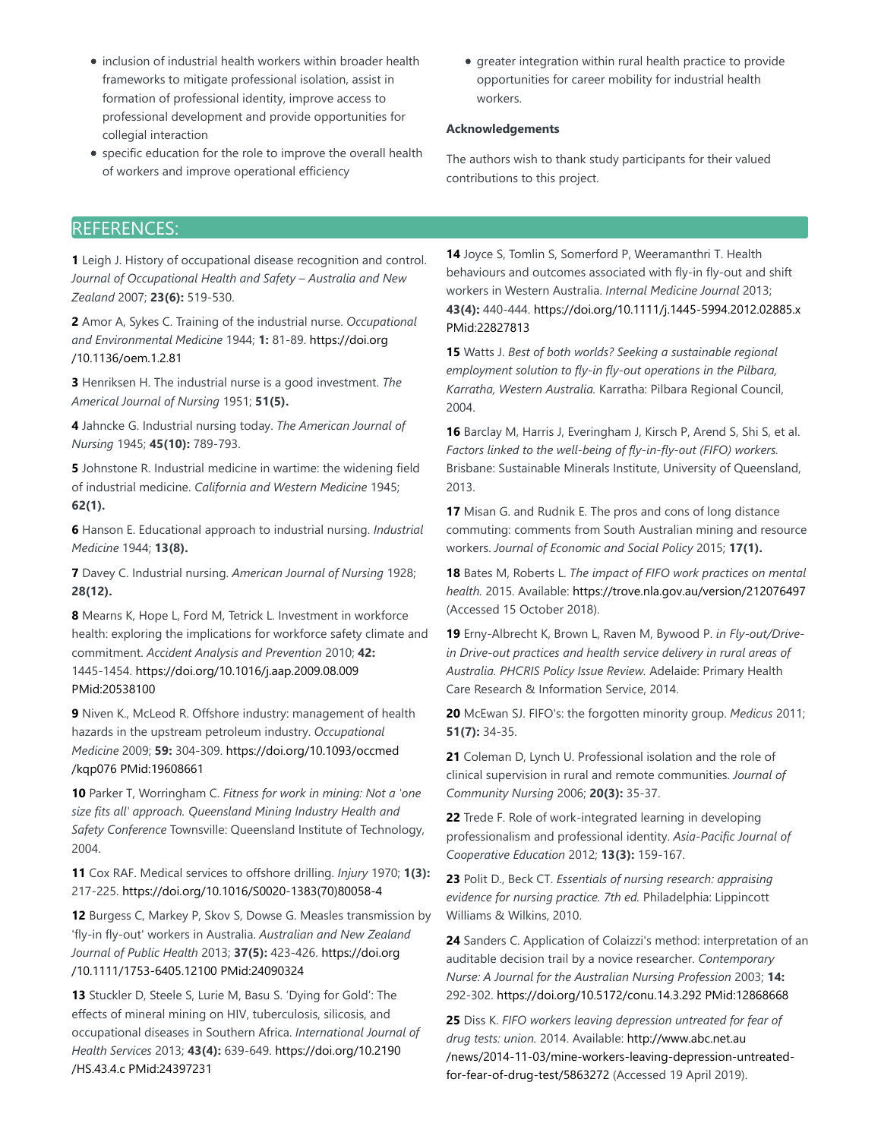- $\bullet$  inclusion of industrial health workers within broader health frameworks to mitigate professional isolation, assist in formation of professional identity, improve access to professional development and provide opportunities for collegial interaction
- specific education for the role to improve the overall health of workers and improve operational efficiency
- greater integration within rural health practice to provide opportunities for career mobility for industrial health workers.

# **Acknowledgements**

The authors wish to thank study participants for their valued contributions to this project.

# REFERENCES:

**1** Leigh J. History of occupational disease recognition and control. *Journal of Occupational Health and Safety – Australia and New Zealand* 2007; **23(6):** 519-530.

**2** Amor A, Sykes C. Training of the industrial nurse. *Occupational and Environmental Medicine* 1944; **1:** 81-89. https://doi.org /10.1136/oem.1.2.81

**3** Henriksen H. The industrial nurse is a good investment. *The Americal Journal of Nursing* 1951; **51(5).**

**4** Jahncke G. Industrial nursing today. *The American Journal of Nursing* 1945; **45(10):** 789-793.

**5** Johnstone R. Industrial medicine in wartime: the widening field of industrial medicine. *California and Western Medicine* 1945; **62(1).**

**6** Hanson E. Educational approach to industrial nursing. *Industrial Medicine* 1944; **13(8).**

**7** Davey C. Industrial nursing. *American Journal of Nursing* 1928; **28(12).**

**8** Mearns K, Hope L, Ford M, Tetrick L. Investment in workforce health: exploring the implications for workforce safety climate and commitment. *Accident Analysis and Prevention* 2010; **42:** 1445-1454. https://doi.org/10.1016/j.aap.2009.08.009 PMid:20538100

**9** Niven K., McLeod R. Offshore industry: management of health hazards in the upstream petroleum industry. *Occupational Medicine* 2009; **59:** 304-309. https://doi.org/10.1093/occmed /kqp076 PMid:19608661

**10** Parker T, Worringham C. *Fitness for work in mining: Not a 'one size fits all' approach. Queensland Mining Industry Health and Safety Conference* Townsville: Queensland Institute of Technology, 2004.

**11** Cox RAF. Medical services to offshore drilling. *Injury* 1970; **1(3):** 217-225. https://doi.org/10.1016/S0020-1383(70)80058-4

**12** Burgess C, Markey P, Skov S, Dowse G. Measles transmission by 'fly-in fly-out' workers in Australia. *Australian and New Zealand Journal of Public Health* 2013; **37(5):** 423-426. https://doi.org /10.1111/1753-6405.12100 PMid:24090324

**13** Stuckler D, Steele S, Lurie M, Basu S. 'Dying for Gold': The effects of mineral mining on HIV, tuberculosis, silicosis, and occupational diseases in Southern Africa. *International Journal of Health Services* 2013; **43(4):** 639-649. https://doi.org/10.2190 /HS.43.4.c PMid:24397231

**14** Joyce S, Tomlin S, Somerford P, Weeramanthri T. Health behaviours and outcomes associated with fly-in fly-out and shift workers in Western Australia. *Internal Medicine Journal* 2013; **43(4):** 440-444. https://doi.org/10.1111/j.1445-5994.2012.02885.x PMid:22827813

**15** Watts J. *Best of both worlds? Seeking a sustainable regional employment solution to fly-in fly-out operations in the Pilbara, Karratha, Western Australia.* Karratha: Pilbara Regional Council, 2004.

**16** Barclay M, Harris J, Everingham J, Kirsch P, Arend S, Shi S, et al. *Factors linked to the well-being of fly-in-fly-out (FIFO) workers.* Brisbane: Sustainable Minerals Institute, University of Queensland, 2013.

**17** Misan G. and Rudnik E. The pros and cons of long distance commuting: comments from South Australian mining and resource workers. *Journal of Economic and Social Policy* 2015; **17(1).**

**18** Bates M, Roberts L. *The impact of FIFO work practices on mental health.* 2015. Available: https://trove.nla.gov.au/version/212076497 (Accessed 15 October 2018).

**19** Erny-Albrecht K, Brown L, Raven M, Bywood P. *in Fly-out/Drivein Drive-out practices and health service delivery in rural areas of Australia. PHCRIS Policy Issue Review.* Adelaide: Primary Health Care Research & Information Service, 2014.

**20** McEwan SJ. FIFO's: the forgotten minority group. *Medicus* 2011; **51(7):** 34-35.

**21** Coleman D, Lynch U. Professional isolation and the role of clinical supervision in rural and remote communities. *Journal of Community Nursing* 2006; **20(3):** 35-37.

**22** Trede F. Role of work-integrated learning in developing professionalism and professional identity. *Asia-Pacific Journal of Cooperative Education* 2012; **13(3):** 159-167.

**23** Polit D., Beck CT. *Essentials of nursing research: appraising evidence for nursing practice. 7th ed.* Philadelphia: Lippincott Williams & Wilkins, 2010.

**24** Sanders C. Application of Colaizzi's method: interpretation of an auditable decision trail by a novice researcher. *Contemporary Nurse: A Journal for the Australian Nursing Profession* 2003; **14:** 292-302. https://doi.org/10.5172/conu.14.3.292 PMid:12868668

**25** Diss K. *FIFO workers leaving depression untreated for fear of drug tests: union.* 2014. Available: http://www.abc.net.au /news/2014-11-03/mine-workers-leaving-depression-untreatedfor-fear-of-drug-test/5863272 (Accessed 19 April 2019).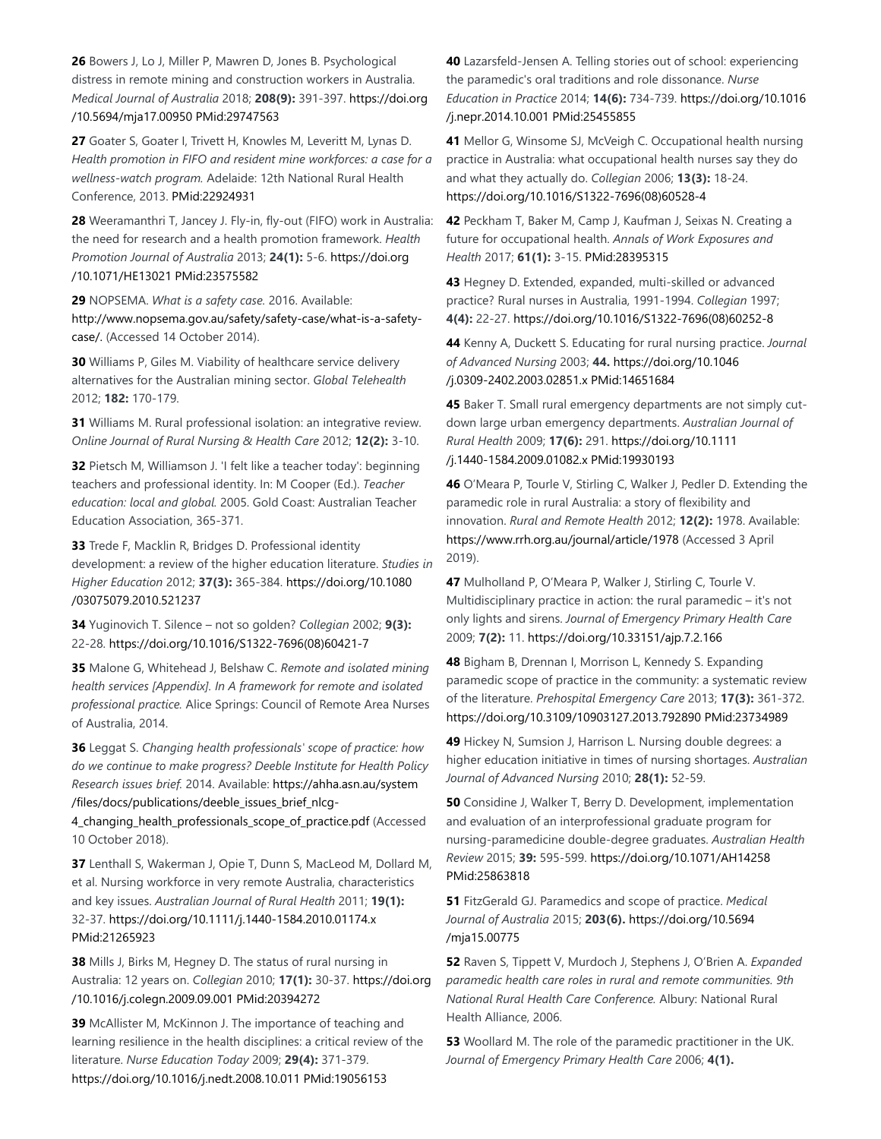**26** Bowers J, Lo J, Miller P, Mawren D, Jones B. Psychological distress in remote mining and construction workers in Australia. *Medical Journal of Australia* 2018; **208(9):** 391-397. https://doi.org /10.5694/mja17.00950 PMid:29747563

**27** Goater S, Goater I, Trivett H, Knowles M, Leveritt M, Lynas D. *Health promotion in FIFO and resident mine workforces: a case for a wellness-watch program.* Adelaide: 12th National Rural Health Conference, 2013. PMid:22924931

**28** Weeramanthri T, Jancey J. Fly-in, fly-out (FIFO) work in Australia: the need for research and a health promotion framework. *Health Promotion Journal of Australia* 2013; **24(1):** 5-6. https://doi.org /10.1071/HE13021 PMid:23575582

**29** NOPSEMA. *What is a safety case.* 2016. Available: http://www.nopsema.gov.au/safety/safety-case/what-is-a-safetycase/. (Accessed 14 October 2014).

**30** Williams P, Giles M. Viability of healthcare service delivery alternatives for the Australian mining sector. *Global Telehealth* 2012; **182:** 170-179.

**31** Williams M. Rural professional isolation: an integrative review. *Online Journal of Rural Nursing & Health Care* 2012; **12(2):** 3-10.

**32** Pietsch M, Williamson J. 'I felt like a teacher today': beginning teachers and professional identity. In: M Cooper (Ed.). *Teacher education: local and global.* 2005. Gold Coast: Australian Teacher Education Association, 365-371.

**33** Trede F, Macklin R, Bridges D. Professional identity development: a review of the higher education literature. *Studies in Higher Education* 2012; **37(3):** 365-384. https://doi.org/10.1080 /03075079.2010.521237

**34** Yuginovich T. Silence – not so golden? *Collegian* 2002; **9(3):** 22-28. https://doi.org/10.1016/S1322-7696(08)60421-7

**35** Malone G, Whitehead J, Belshaw C. *Remote and isolated mining health services [Appendix]. In A framework for remote and isolated professional practice.* Alice Springs: Council of Remote Area Nurses of Australia, 2014.

**36** Leggat S. *Changing health professionals' scope of practice: how do we continue to make progress? Deeble Institute for Health Policy Research issues brief.* 2014. Available: https://ahha.asn.au/system /files/docs/publications/deeble\_issues\_brief\_nlcg-

4\_changing\_health\_professionals\_scope\_of\_practice.pdf (Accessed 10 October 2018).

**37** Lenthall S, Wakerman J, Opie T, Dunn S, MacLeod M, Dollard M, et al. Nursing workforce in very remote Australia, characteristics and key issues. *Australian Journal of Rural Health* 2011; **19(1):** 32-37. https://doi.org/10.1111/j.1440-1584.2010.01174.x PMid:21265923

**38** Mills J, Birks M, Hegney D. The status of rural nursing in Australia: 12 years on. *Collegian* 2010; **17(1):** 30-37. https://doi.org /10.1016/j.colegn.2009.09.001 PMid:20394272

**39** McAllister M, McKinnon J. The importance of teaching and learning resilience in the health disciplines: a critical review of the literature. *Nurse Education Today* 2009; **29(4):** 371-379. https://doi.org/10.1016/j.nedt.2008.10.011 PMid:19056153

**40** Lazarsfeld-Jensen A. Telling stories out of school: experiencing the paramedic's oral traditions and role dissonance. *Nurse Education in Practice* 2014; **14(6):** 734-739. https://doi.org/10.1016 /j.nepr.2014.10.001 PMid:25455855

**41** Mellor G, Winsome SJ, McVeigh C. Occupational health nursing practice in Australia: what occupational health nurses say they do and what they actually do. *Collegian* 2006; **13(3):** 18-24. https://doi.org/10.1016/S1322-7696(08)60528-4

**42** Peckham T, Baker M, Camp J, Kaufman J, Seixas N. Creating a future for occupational health. *Annals of Work Exposures and Health* 2017; **61(1):** 3-15. PMid:28395315

**43** Hegney D. Extended, expanded, multi-skilled or advanced practice? Rural nurses in Australia, 1991-1994. *Collegian* 1997; **4(4):** 22-27. https://doi.org/10.1016/S1322-7696(08)60252-8

**44** Kenny A, Duckett S. Educating for rural nursing practice. *Journal of Advanced Nursing* 2003; **44.** https://doi.org/10.1046 /j.0309-2402.2003.02851.x PMid:14651684

**45** Baker T. Small rural emergency departments are not simply cutdown large urban emergency departments. *Australian Journal of Rural Health* 2009; **17(6):** 291. https://doi.org/10.1111 /j.1440-1584.2009.01082.x PMid:19930193

**46** O'Meara P, Tourle V, Stirling C, Walker J, Pedler D. Extending the paramedic role in rural Australia: a story of flexibility and innovation. *Rural and Remote Health* 2012; **12(2):** 1978. Available: https://www.rrh.org.au/journal/article/1978 (Accessed 3 April 2019).

**47** Mulholland P, O'Meara P, Walker J, Stirling C, Tourle V. Multidisciplinary practice in action: the rural paramedic – it's not only lights and sirens. *Journal of Emergency Primary Health Care* 2009; **7(2):** 11. https://doi.org/10.33151/ajp.7.2.166

**48** Bigham B, Drennan I, Morrison L, Kennedy S. Expanding paramedic scope of practice in the community: a systematic review of the literature. *Prehospital Emergency Care* 2013; **17(3):** 361-372. https://doi.org/10.3109/10903127.2013.792890 PMid:23734989

**49** Hickey N, Sumsion J, Harrison L. Nursing double degrees: a higher education initiative in times of nursing shortages. *Australian Journal of Advanced Nursing* 2010; **28(1):** 52-59.

**50** Considine J, Walker T, Berry D. Development, implementation and evaluation of an interprofessional graduate program for nursing-paramedicine double-degree graduates. *Australian Health Review* 2015; **39:** 595-599. https://doi.org/10.1071/AH14258 PMid:25863818

**51** FitzGerald GJ. Paramedics and scope of practice. *Medical Journal of Australia* 2015; **203(6).** https://doi.org/10.5694 /mja15.00775

**52** Raven S, Tippett V, Murdoch J, Stephens J, O'Brien A. *Expanded paramedic health care roles in rural and remote communities. 9th National Rural Health Care Conference.* Albury: National Rural Health Alliance, 2006.

**53** Woollard M. The role of the paramedic practitioner in the UK. *Journal of Emergency Primary Health Care* 2006; **4(1).**